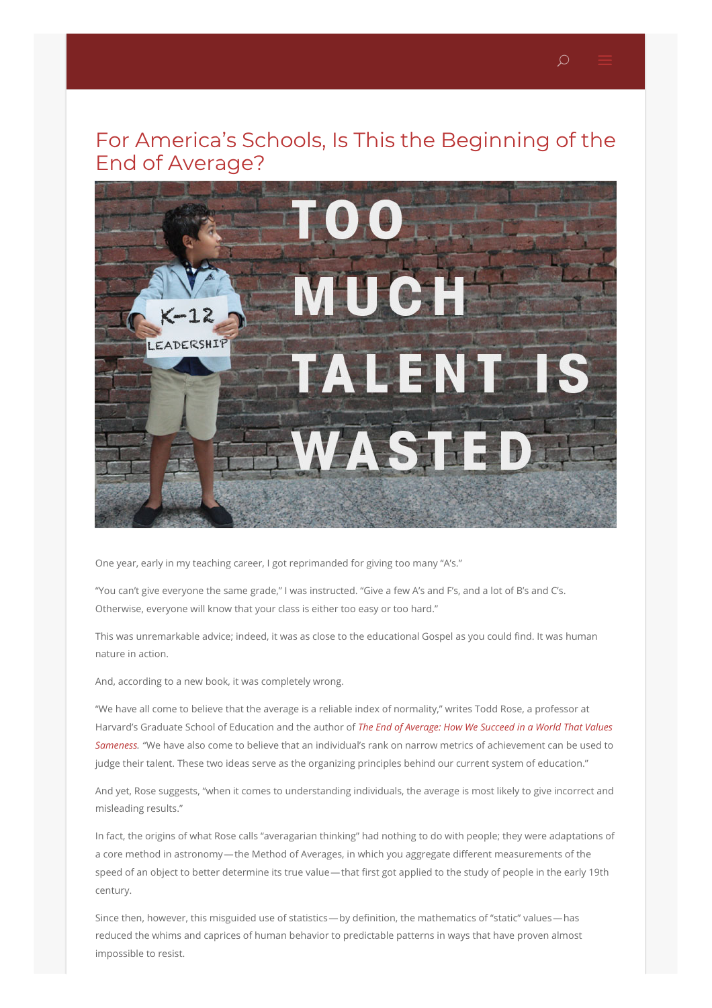

One year, early in my teaching career, I got reprimanded for giving too many "A's."

"You can't give everyone the same grade," I was instructed. "Give a few A's and F's, and a lot of B's and C's. Otherwise, everyone will know that your class is either too easy or too hard."

This was unremarkable advice; indeed, it was as close to the educational Gospel as you could find. It was human nature in action.

And, according to a new book, it was completely wrong.

"We have all come to believe that the average is a reliable index of normality," writes Todd Rose, a professor at Harvard's Graduate School of Education and the author of *The End of Average: How We Succeed in a World That Values Sameness. "*We have also come to believe that an individual's rank on narrow metrics of [achievement](https://www.harpercollins.com/9780062358363/the-end-of-average) can be used to judge their talent. These two ideas serve as the organizing principles behind our current system of education."

And yet, Rose suggests, "when it comes to understanding individuals, the average is most likely to give incorrect and misleading results."

In fact, the origins of what Rose calls "averagarian thinking" had nothing to do with people; they were adaptations of a core method in astronomy—the Method of Averages, in which you aggregate different measurements of the speed of an object to better determine its true value—that first got applied to the study of people in the early 19th century.

Since then, however, this misguided use of statistics—by definition, the mathematics of "static" values—has reduced the whims and caprices of human behavior to predictable patterns in ways that have proven almost impossible to resist.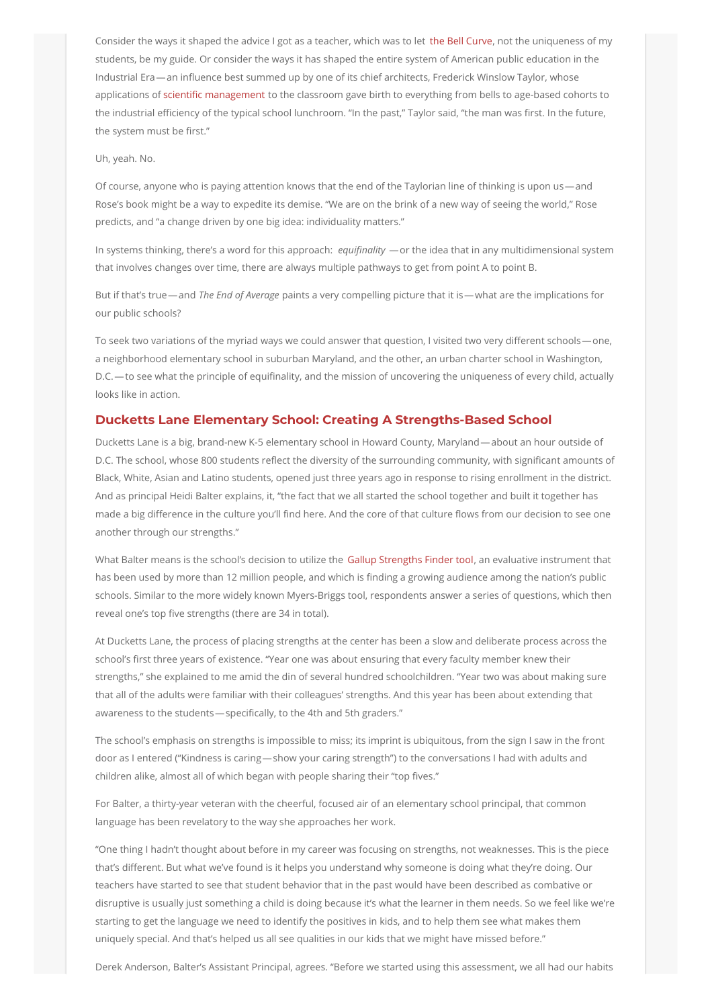Consider the ways it shaped the advice I got as a teacher, which was to let the Bell [Curve](https://en.wikipedia.org/wiki/Grading_on_a_curve), not the uniqueness of my students, be my guide. Or consider the ways it has shaped the entire system of American public education in the Industrial Era—an influence best summed up by one of its chief architects, Frederick Winslow Taylor, whose applications of scientific [management](https://en.wikipedia.org/wiki/Scientific_management) to the classroom gave birth to everything from bells to age-based cohorts to the industrial efficiency of the typical school lunchroom. "In the past," Taylor said, "the man was first. In the future, the system must be first."

## Uh, yeah. No.

Of course, anyone who is paying attention knows that the end of the Taylorian line of thinking is upon us—and Rose's book might be a way to expedite its demise. "We are on the brink of a new way of seeing the world," Rose predicts, and "a change driven by one big idea: individuality matters."

In systems thinking, there's a word for this approach: *equifinality* —or the idea that in any multidimensional system that involves changes over time, there are always multiple pathways to get from point A to point B.

But if that's true—and *The End of Average* paints a very compelling picture that it is—what are the implications for our public schools?

To seek two variations of the myriad ways we could answer that question, I visited two very different schools—one, a neighborhood elementary school in suburban Maryland, and the other, an urban charter school in Washington, D.C.—to see what the principle of equifinality, and the mission of uncovering the uniqueness of every child, actually looks like in action.

## **Ducketts Lane Elementary School: Creating A Strengths-Based School**

Ducketts Lane is a big, brand-new K-5 elementary school in Howard County, Maryland—about an hour outside of D.C. The school, whose 800 students reflect the diversity of the surrounding community, with significant amounts of Black, White, Asian and Latino students, opened just three years ago in response to rising enrollment in the district. And as principal Heidi Balter explains, it, "the fact that we all started the school together and built it together has made a big difference in the culture you'll find here. And the core of that culture flows from our decision to see one another through our strengths."

What Balter means is the school's decision to utilize the Gallup [Strengths](https://www.gallupstrengthscenter.com/) Finder tool, an evaluative instrument that has been used by more than 12 million people, and which is finding a growing audience among the nation's public schools. Similar to the more widely known Myers-Briggs tool, respondents answer a series of questions, which then reveal one's top five strengths (there are 34 in total).

At Ducketts Lane, the process of placing strengths at the center has been a slow and deliberate process across the school's first three years of existence. "Year one was about ensuring that every faculty member knew their strengths," she explained to me amid the din of several hundred schoolchildren. "Year two was about making sure that all of the adults were familiar with their colleagues' strengths. And this year has been about extending that awareness to the students—specifically, to the 4th and 5th graders."

The school's emphasis on strengths is impossible to miss; its imprint is ubiquitous, from the sign I saw in the front door as I entered ("Kindness is caring—show your caring strength") to the conversations I had with adults and children alike, almost all of which began with people sharing their "top fives."

For Balter, a thirty-year veteran with the cheerful, focused air of an elementary school principal, that common language has been revelatory to the way she approaches her work.

"One thing I hadn't thought about before in my career was focusing on strengths, not weaknesses. This is the piece that's different. But what we've found is it helps you understand why someone is doing what they're doing. Our teachers have started to see that student behavior that in the past would have been described as combative or disruptive is usually just something a child is doing because it's what the learner in them needs. So we feel like we're starting to get the language we need to identify the positives in kids, and to help them see what makes them uniquely special. And that's helped us all see qualities in our kids that we might have missed before."

Derek Anderson, Balter's Assistant Principal, agrees. "Before we started using this assessment, we all had our habits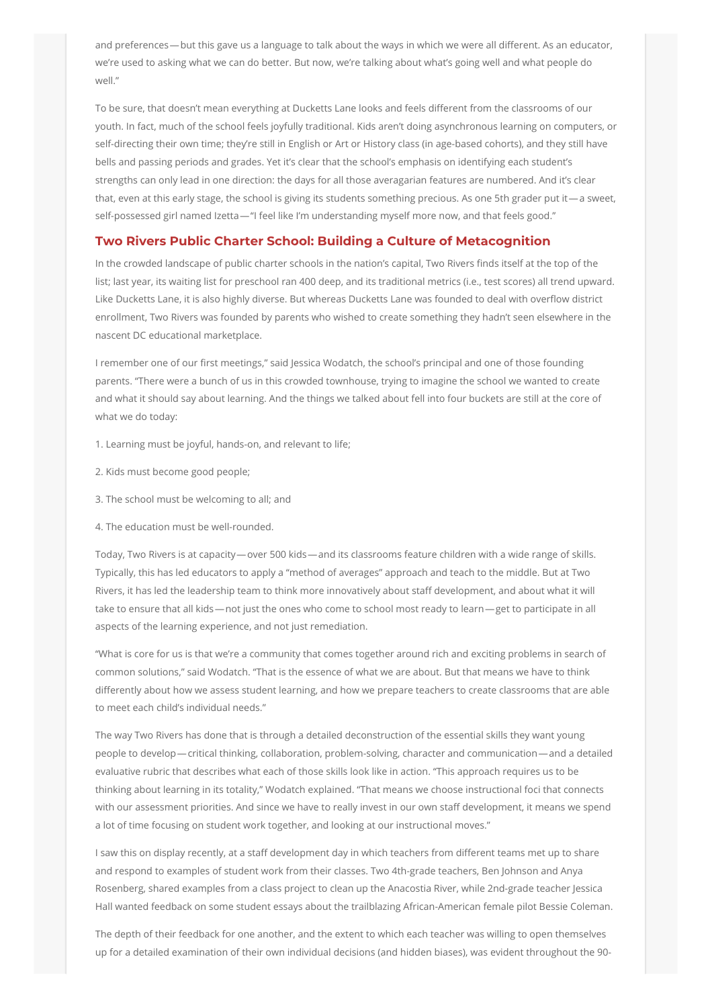and preferences—but this gave us a language to talk about the ways in which we were all different. As an educator, we're used to asking what we can do better. But now, we're talking about what's going well and what people do well."

To be sure, that doesn't mean everything at Ducketts Lane looks and feels different from the classrooms of our youth. In fact, much of the school feels joyfully traditional. Kids aren't doing asynchronous learning on computers, or self-directing their own time; they're still in English or Art or History class (in age-based cohorts), and they still have bells and passing periods and grades. Yet it's clear that the school's emphasis on identifying each student's strengths can only lead in one direction: the days for all those averagarian features are numbered. And it's clear that, even at this early stage, the school is giving its students something precious. As one 5th grader put it—a sweet, self-possessed girl named Izetta—"I feel like I'm understanding myself more now, and that feels good."

## **Two Rivers Public Charter School: Building a Culture of Metacognition**

In the crowded landscape of public charter schools in the nation's capital, Two Rivers finds itself at the top of the list; last year, its waiting list for preschool ran 400 deep, and its traditional metrics (i.e., test scores) all trend upward. Like Ducketts Lane, it is also highly diverse. But whereas Ducketts Lane was founded to deal with overflow district enrollment, Two Rivers was founded by parents who wished to create something they hadn't seen elsewhere in the nascent DC educational marketplace.

I remember one of our first meetings," said Jessica Wodatch, the school's principal and one of those founding parents. "There were a bunch of us in this crowded townhouse, trying to imagine the school we wanted to create and what it should say about learning. And the things we talked about fell into four buckets are still at the core of what we do today:

- 1. Learning must be joyful, hands-on, and relevant to life;
- 2. Kids must become good people;
- 3. The school must be welcoming to all; and
- 4. The education must be well-rounded.

Today, Two Rivers is at capacity—over 500 kids—and its classrooms feature children with a wide range of skills. Typically, this has led educators to apply a "method of averages" approach and teach to the middle. But at Two Rivers, it has led the leadership team to think more innovatively about staff development, and about what it will take to ensure that all kids—not just the ones who come to school most ready to learn—get to participate in all aspects of the learning experience, and not just remediation.

"What is core for us is that we're a community that comes together around rich and exciting problems in search of common solutions," said Wodatch. "That is the essence of what we are about. But that means we have to think differently about how we assess student learning, and how we prepare teachers to create classrooms that are able to meet each child's individual needs."

The way Two Rivers has done that is through a detailed deconstruction of the essential skills they want young people to develop—critical thinking, collaboration, problem-solving, character and communication—and a detailed evaluative rubric that describes what each of those skills look like in action. "This approach requires us to be thinking about learning in its totality," Wodatch explained. "That means we choose instructional foci that connects with our assessment priorities. And since we have to really invest in our own staff development, it means we spend a lot of time focusing on student work together, and looking at our instructional moves."

I saw this on display recently, at a staff development day in which teachers from different teams met up to share and respond to examples of student work from their classes. Two 4th-grade teachers, Ben Johnson and Anya Rosenberg, shared examples from a class project to clean up the Anacostia River, while 2nd-grade teacher Jessica Hall wanted feedback on some student essays about the trailblazing African-American female pilot Bessie Coleman.

The depth of their feedback for one another, and the extent to which each teacher was willing to open themselves up for a detailed examination of their own individual decisions (and hidden biases), was evident throughout the 90